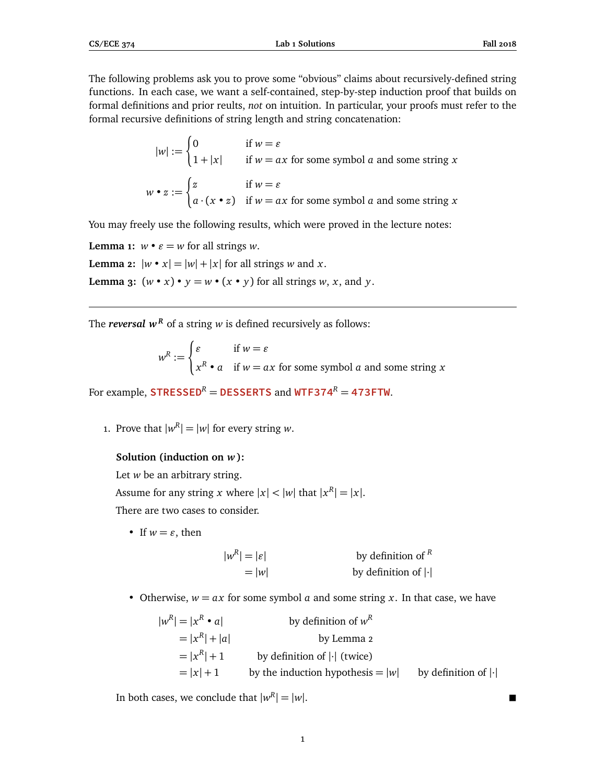The following problems ask you to prove some "obvious" claims about recursively-defined string functions. In each case, we want a self-contained, step-by-step induction proof that builds on formal definitions and prior reults, *not* on intuition. In particular, your proofs must refer to the formal recursive definitions of string length and string concatenation:

$$
|w| := \begin{cases} 0 & \text{if } w = \varepsilon \\ 1 + |x| & \text{if } w = ax \text{ for some symbol } a \text{ and some string } x \end{cases}
$$
  

$$
w \cdot z := \begin{cases} z & \text{if } w = \varepsilon \\ a \cdot (x \cdot z) & \text{if } w = ax \text{ for some symbol } a \text{ and some string } x \end{cases}
$$

You may freely use the following results, which were proved in the lecture notes:

**Lemma 1:**  $w \cdot \varepsilon = w$  for all strings *w*.

**Lemma 2:**  $|w \cdot x| = |w| + |x|$  for all strings *w* and *x*.

**Lemma 3:**  $(w \cdot x) \cdot y = w \cdot (x \cdot y)$  for all strings *w*, *x*, and *y*.

The *reversal*  $w^R$  of a string *w* is defined recursively as follows:

 $w^R :=$  $\int \mathcal{E}$  if  $w = \mathcal{E}$  $x^R \cdot a$  if  $w = ax$  for some symbol *a* and some string *x* 

For example, **STRESSED<sup>***R***</sup> = DESSERTS and WTF374<sup>***R***</sup> = 473FTW.** 

1. Prove that  $|w^R| = |w|$  for every string *w*.

# **Solution (induction on** *w***):**

Let *w* be an arbitrary string. Assume for any string *x* where  $|x| < |w|$  that  $|x^R| = |x|$ . There are two cases to consider.

• If  $w = \varepsilon$ , then

| $ w^R  =  \varepsilon $ | by definition of $R$                    |
|-------------------------|-----------------------------------------|
| $=$ $ w $               | by definition of $\left  \cdot \right $ |

• Otherwise,  $w = ax$  for some symbol  $a$  and some string  $x$ . In that case, we have

 $|w^R| = |x|$ *<sup>R</sup>* • *a*| by definition of *w R*  $= |x^R$ by Lemma 2  $= |x^R| + 1$  by definition of  $|\cdot|$  (twice)  $= |x| + 1$  by the induction hypothesis  $= |w|$  by definition of  $|\cdot|$ 

In both cases, we conclude that  $|w^R| = |w|$ .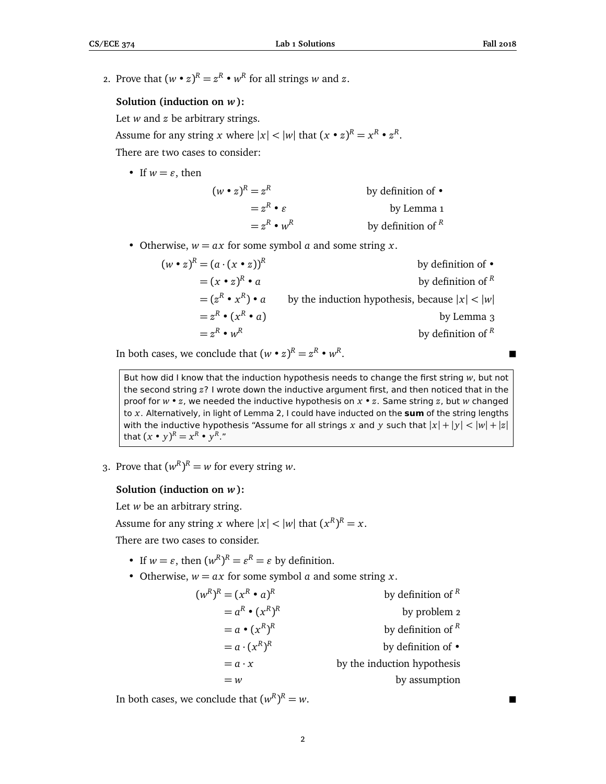2. Prove that  $(w \cdot z)^R = z^R \cdot w^R$  for all strings *w* and *z*.

# **Solution (induction on** *w***):**

Let *w* and *z* be arbitrary strings.

Assume for any string *x* where  $|x| < |w|$  that  $(x \cdot z)^R = x^R \cdot z^R$ .

There are two cases to consider:

• If  $w = \varepsilon$ , then

| $(w \cdot z)^R = z^R$     | by definition of $\bullet$ |
|---------------------------|----------------------------|
| $= z^R \cdot \varepsilon$ | by Lemma 1                 |
| $z^R \cdot w^R$           | by definition of $R$       |

- Otherwise,  $w = ax$  for some symbol *a* and some string *x*.
	- $(w \cdot z)^R = (a \cdot (x \cdot z))^R$ by definition of •  $=(x \bullet z)^{R} \bullet a$ *<sup>R</sup>* • *a* by definition of *<sup>R</sup>*  $=(z^R \cdot x^R)$ by the induction hypothesis, because  $|x| < |w|$  $=z^R \bullet (x)$ *<sup>R</sup>* • *a*) by Lemma 3  $=z^R \cdot w^R$ by definition of *<sup>R</sup>*

In both cases, we conclude that  $(w \cdot z)^R = z^R \cdot w^R$ .

But how did I know that the induction hypothesis needs to change the first string *w*, but not the second string *z*? I wrote down the inductive argument first, and then noticed that in the proof for *w* • *z*, we needed the inductive hypothesis on *x* • *z*. Same string *z*, but *w* changed to *x*. Alternatively, in light of Lemma 2, I could have inducted on the **sum** of the string lengths with the inductive hypothesis "Assume for all strings x and y such that  $|x| + |y| < |w| + |z|$ that  $(x \cdot y)^R = x^R \cdot y^R$ ."

3. Prove that  $(w^R)^R = w$  for every string *w*.

### **Solution (induction on** *w***):**

Let *w* be an arbitrary string.

Assume for any string *x* where  $|x| < |w|$  that  $(x^R)^R = x$ .

There are two cases to consider.

- If  $w = \varepsilon$ , then  $(w^R)^R = \varepsilon^R = \varepsilon$  by definition.
- Otherwise,  $w = ax$  for some symbol *a* and some string *x*.

| $(w^R)^R = (x^R \cdot a)^R$ | by definition of $R$        |
|-----------------------------|-----------------------------|
| $a^R \bullet (x^R)^R$       | by problem 2                |
| $= a \cdot (x^R)^R$         | by definition of $R$        |
| $= a \cdot (x^R)^R$         | by definition of $\bullet$  |
| $= a \cdot x$               | by the induction hypothesis |
| $=w$                        | by assumption               |

In both cases, we conclude that  $(w^R)$  $R = w$ .

2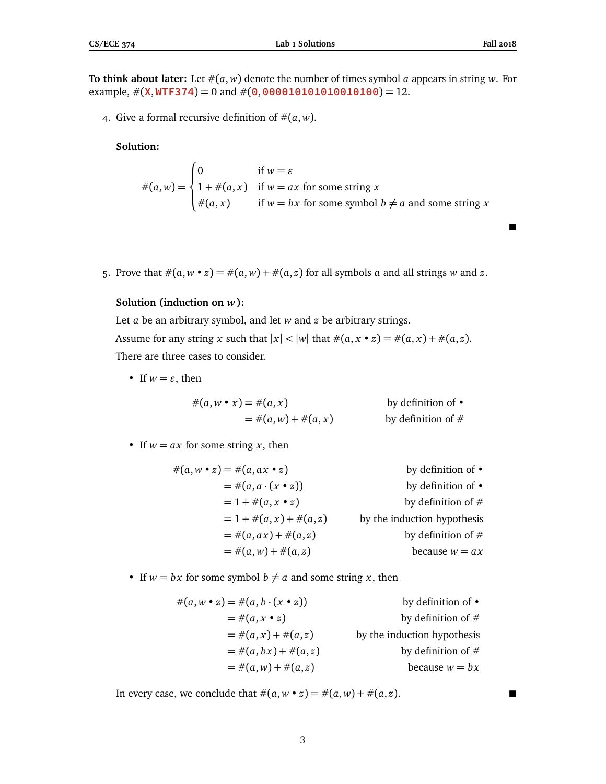$\blacksquare$ 

**To think about later:** Let  $\#(a, w)$  denote the number of times symbol *a* appears in string *w*. For example,  $\#$ (**X**, WTF374) = 0 and  $\#$ (0,000010101010010100) = 12.

4. Give a formal recursive definition of  $\#(a, w)$ .

# **Solution:**

 $#(a, w) =$  $\sqrt{ }$  $\int$  $\overline{a}$ 0 if  $w = \varepsilon$  $1 + \#(a, x)$  if  $w = ax$  for some string x  $#(a, x)$  if  $w = bx$  for some symbol  $b \neq a$  and some string *x* 

5. Prove that  $\#(a, w \cdot z) = \#(a, w) + \#(a, z)$  for all symbols *a* and all strings *w* and *z*.

## **Solution (induction on** *w***):**

Let *a* be an arbitrary symbol, and let *w* and *z* be arbitrary strings. Assume for any string *x* such that  $|x| < |w|$  that  $\#(a, x \cdot z) = \#(a, x) + \#(a, z)$ . There are three cases to consider.

• If  $w = \varepsilon$ , then

$$
#(a, w \bullet x) = #(a, x) \qquad \text{by definition of } \bullet
$$
  
=  $#(a, w) + #(a, x) \qquad \text{by definition of } #$ 

• If  $w = ax$  for some string *x*, then

$$
\#(a, w \cdot z) = \#(a, ax \cdot z)
$$
 by definition of  $\bullet$   
\n
$$
= \#(a, a \cdot (x \cdot z))
$$
 by definition of  $\bullet$   
\n
$$
= 1 + \#(a, x \cdot z)
$$
 by definition of  $\#$   
\n
$$
= 1 + \#(a, x) + \#(a, z)
$$
 by the induction hypothesis  
\n
$$
= \#(a, ax) + \#(a, z)
$$
 by definition of  $\#$   
\n
$$
= \#(a, w) + \#(a, z)
$$
 because  $w = ax$ 

• If  $w = bx$  for some symbol  $b \neq a$  and some string *x*, then

$$
\begin{aligned}\n\#(a, w \bullet z) &= \#(a, b \cdot (x \bullet z)) & \text{by definition of } \bullet \\
&= \#(a, x \bullet z) & \text{by definition of } \# \\
&= \#(a, x) + \#(a, z) & \text{by the induction hypothesis} \\
&= \#(a, bx) + \#(a, z) & \text{by definition of } \# \\
&= \#(a, w) + \#(a, z) & \text{because } w = bx\n\end{aligned}
$$

In every case, we conclude that  $\#(a, w \bullet z) = \#(a, w) + \#(a, z)$ .